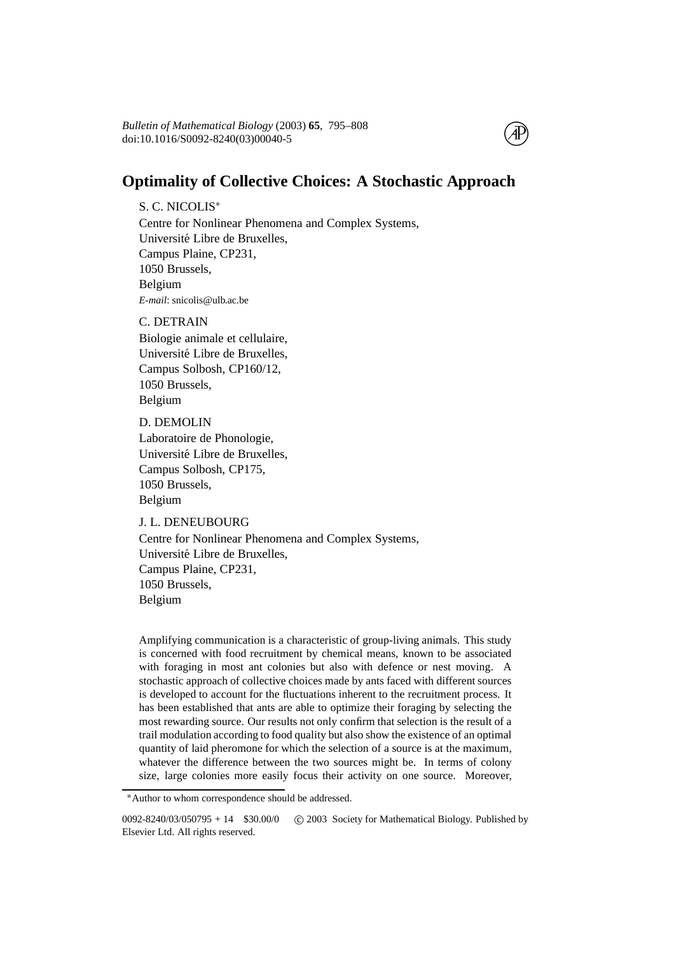doi:10.1016/S0092-8240(03)00040-5 *Bulletin of Mathematical Biology* (2003) **65**, 795–808

# **Optimality of Collective Choices: A Stochastic Approach**

S. C. NICOLIS<sup>∗</sup> Centre for Nonlinear Phenomena and Complex Systems, Université Libre de Bruxelles, Campus Plaine, CP231, 1050 Brussels, Belgium *E-mail*: snicolis@ulb.ac.be

C. DETRAIN Biologie animale et cellulaire, Université Libre de Bruxelles, Campus Solbosh, CP160/12, 1050 Brussels, Belgium

D. DEMOLIN Laboratoire de Phonologie, Université Libre de Bruxelles, Campus Solbosh, CP175, 1050 Brussels, Belgium

J. L. DENEUBOURG

Centre for Nonlinear Phenomena and Complex Systems, Université Libre de Bruxelles, Campus Plaine, CP231, 1050 Brussels, Belgium

Amplifying communication is a characteristic of group-living animals. This study is concerned with food recruitment by chemical means, known to be associated with foraging in most ant colonies but also with defence or nest moving. A stochastic approach of collective choices made by ants faced with different sources is developed to account for the fluctuations inherent to the recruitment process. It has been established that ants are able to optimize their foraging by selecting the most rewarding source. Our results not only confirm that selection is the result of a trail modulation according to food quality but also show the existence of an optimal quantity of laid pheromone for which the selection of a source is at the maximum, whatever the difference between the two sources might be. In terms of colony size, large colonies more easily focus their activity on one source. Moreover,

<sup>∗</sup>Author to whom correspondence should be addressed.

 $0092 - 8240/03/050795 + 14$  \$30.00/0 c 2003 Society for Mathematical Biology. Published by Elsevier Ltd. All rights reserved.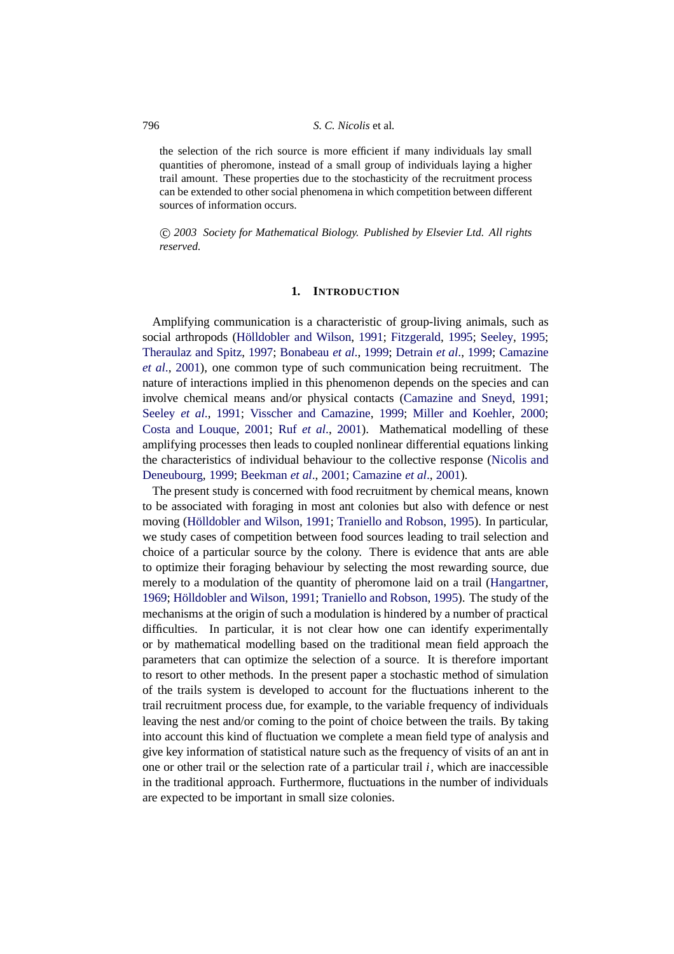the selection of the rich source is more efficient if many individuals lay small quantities of pheromone, instead of a small group of individuals laying a higher trail amount. These properties due to the stochasticity of the recruitment process can be extended to other social phenomena in which competition between different sources of information occurs.

-c *2003 Society for Mathematical Biology. Published by Elsevier Ltd. All rights reserved.*

## **1. INTRODUCTION**

Amplifying communication is a characteristic of group-living animals, such as social arthropods (Hölldobler and Wilson, [1991](#page-13-0); [Fitzgerald](#page-13-1), [1995](#page-13-2); [Seeley](#page-13-2), 1995; [Theraulaz and Spitz](#page-13-3), [1997;](#page-13-3) [Bonabeau](#page-12-0) *et al*., [1999](#page-12-0); [Detrain](#page-13-4) *et al*., [1999;](#page-13-4) [Camazine](#page-12-5) *et al*., [2001\)](#page-12-1), one common type of such communication being recruitment. The nature of interactions implied in this phenomenon depends on the species and can involve chemical means and/or physical contacts [\(Camazine and Sneyd](#page-12-2), [1991](#page-12-2); [Seeley](#page-13-5) *et al*., [1991;](#page-13-5) [Visscher and Camazine](#page-13-6), [1999;](#page-13-6) [Miller and Koehler,](#page-13-7) [2000](#page-13-7); [Costa and Louque,](#page-12-3) [2001;](#page-12-3) Ruf *[et al](#page-13-8)*., [2001](#page-13-8)). Mathematical modelling of these amplifying processes then leads to coupled nonlinear differential equations linking the characteristics of individual behaviour to the collective response [\(Nicolis and](#page-13-9) [Deneubourg,](#page-13-9) 1999; [Beekman](#page-12-4) *et al*., [2001](#page-12-4); [Camazine](#page-12-1) *et al*., [2001\)](#page-12-1).

The present study is concerned with food recruitment by chemical means, known to be associated with foraging in most ant colonies but also with defence or nest moving (Hölldobler and Wilson, [1991;](#page-13-0) [Traniello and Robson](#page-13-10), [1995\)](#page-13-10). In particular, we study cases of competition between food sources leading to trail selection and choice of a particular source by the colony. There is evidence that ants are able to optimize their foraging behaviour by selecting the most rewarding source, due merely to a modulation of the quantity of pheromone laid on a trail [\(Hangartner](#page-13-11), [1969](#page-13-11); Hölldobler and Wilson, [1991;](#page-13-0) [Traniello and Robson,](#page-13-10) [1995](#page-13-10)). The study of the mechanisms at the origin of such a modulation is hindered by a number of practical difficulties. In particular, it is not clear how one can identify experimentally or by mathematical modelling based on the traditional mean field approach the parameters that can optimize the selection of a source. It is therefore important to resort to other methods. In the present paper a stochastic method of simulation of the trails system is developed to account for the fluctuations inherent to the trail recruitment process due, for example, to the variable frequency of individuals leaving the nest and/or coming to the point of choice between the trails. By taking into account this kind of fluctuation we complete a mean field type of analysis and give key information of statistical nature such as the frequency of visits of an ant in one or other trail or the selection rate of a particular trail *i*, which are inaccessible in the traditional approach. Furthermore, fluctuations in the number of individuals are expected to be important in small size colonies.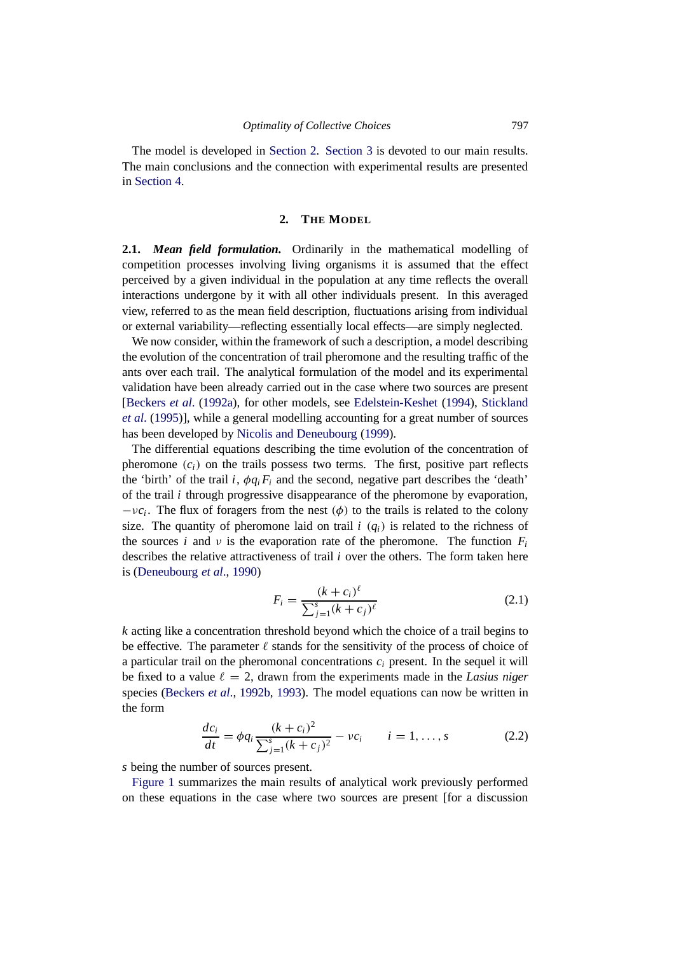The model is developed in [Section 2.](#page-2-0) [Section 3](#page-5-0) is devoted to our main results. The main conclusions and the connection with experimental results are presented in [Section 4.](#page-11-0)

### **2. THE MODEL**

<span id="page-2-0"></span>**2.1.** *Mean field formulation.* Ordinarily in the mathematical modelling of competition processes involving living organisms it is assumed that the effect perceived by a given individual in the population at any time reflects the overall interactions undergone by it with all other individuals present. In this averaged view, referred to as the mean field description, fluctuations arising from individual or external variability—reflecting essentially local effects—are simply neglected.

We now consider, within the framework of such a description, a model describing the evolution of the concentration of trail pheromone and the resulting traffic of the ants over each trail. The analytical formulation of the model and its experimental validation have been already carried out in the case where two sources are present [\[Beckers](#page-12-6) *et al*. [\(1992a\)](#page-12-6), for other models, see [Edelstein-Keshet](#page-13-12) [\(1994](#page-13-12)), [Stickland](#page-13-13) *et al*. [\(1995\)](#page-13-14)], while a general modelling accounting for a great number of sources has been developed by [Nicolis and Deneubourg](#page-13-9) [\(1999\)](#page-13-9).

The differential equations describing the time evolution of the concentration of pheromone  $(c_i)$  on the trails possess two terms. The first, positive part reflects the 'birth' of the trail *i*,  $\phi q_i F_i$  and the second, negative part describes the 'death' of the trail *i* through progressive disappearance of the pheromone by evaporation,  $-vc_i$ . The flux of foragers from the nest ( $\phi$ ) to the trails is related to the colony size. The quantity of pheromone laid on trail  $i$  ( $q_i$ ) is related to the richness of the sources *i* and *v* is the evaporation rate of the pheromone. The function  $F_i$ describes the relative attractiveness of trail *i* over the others. The form taken here is [\(Deneubourg](#page-12-7) *et al*., [1990\)](#page-12-7)

<span id="page-2-2"></span>
$$
F_i = \frac{(k+c_i)^{\ell}}{\sum_{j=1}^{s} (k+c_j)^{\ell}}
$$
 (2.1)

*k* acting like a concentration threshold beyond which the choice of a trail begins to be effective. The parameter  $\ell$  stands for the sensitivity of the process of choice of a particular trail on the pheromonal concentrations  $c_i$  present. In the sequel it will be fixed to a value  $\ell = 2$ , drawn from the experiments made in the *Lasius niger* species [\(Beckers](#page-12-8) *et al*., [1992b,](#page-12-8) [1993](#page-12-9)). The model equations can now be written in the form

<span id="page-2-1"></span>
$$
\frac{dc_i}{dt} = \phi q_i \frac{(k+c_i)^2}{\sum_{j=1}^s (k+c_j)^2} - \nu c_i \qquad i = 1, ..., s
$$
 (2.2)

*s* being the number of sources present.

[Figure 1](#page-3-0) summarizes the main results of analytical work previously performed on these equations in the case where two sources are present [for a discussion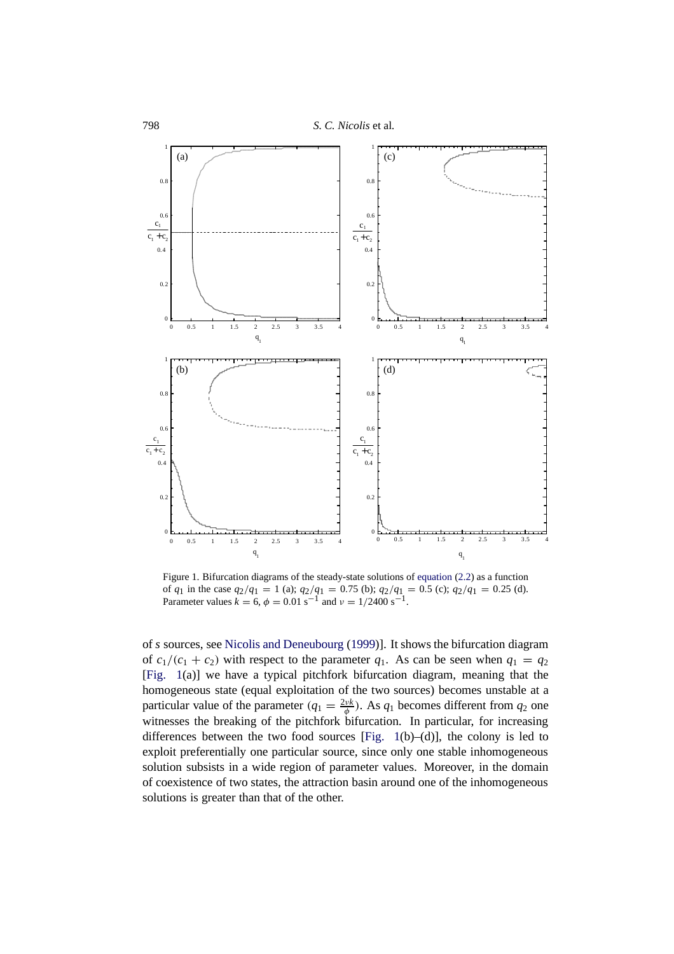<span id="page-3-1"></span><span id="page-3-0"></span>

Figure 1. Bifurcation diagrams of the steady-state solutions of [equation](#page-2-1) (2.2) as a function of  $q_1$  in the case  $q_2/q_1 = 1$  (a);  $q_2/q_1 = 0.75$  (b);  $q_2/q_1 = 0.5$  (c);  $q_2/q_1 = 0.25$  (d). Parameter values  $k = 6$ ,  $\phi = 0.01 \text{ s}^{-1}$  and  $\nu = 1/2400 \text{ s}^{-1}$ .

of *s* sources, see [Nicolis and Deneubourg](#page-13-9) [\(1999](#page-13-9))]. It shows the bifurcation diagram of  $c_1/(c_1 + c_2)$  with respect to the parameter  $q_1$ . As can be seen when  $q_1 = q_2$ [Fig. 1(a)] we have a typical pitchfork bifurcation diagram, meaning that the homogeneous state (equal exploitation of the two sources) becomes unstable at a particular value of the parameter  $(q_1 = \frac{2\nu k}{\phi})$ . As  $q_1$  becomes different from  $q_2$  one witnesses the breaking of the pitchfork bifurcation. In particular, for increasing differences between the two food sources [Fig. 1(b)–(d)], the colony is led to exploit preferentially one particular source, since only one stable inhomogeneous solution subsists in a wide region of parameter values. Moreover, in the domain of coexistence of two states, the attraction basin around one of the inhomogeneous solutions is greater than that of the other.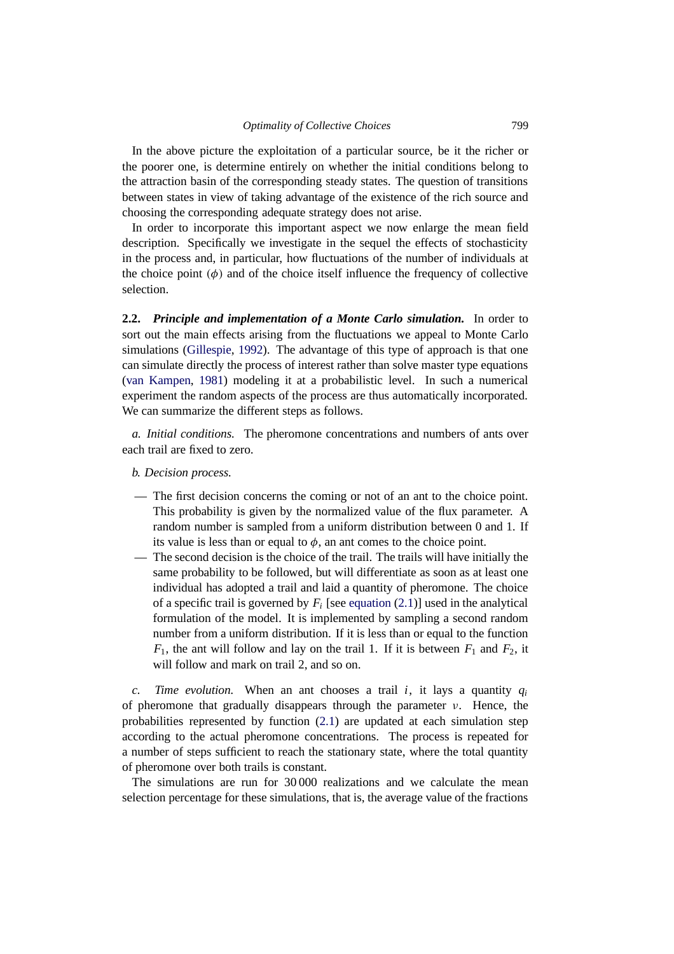In the above picture the exploitation of a particular source, be it the richer or the poorer one, is determine entirely on whether the initial conditions belong to the attraction basin of the corresponding steady states. The question of transitions between states in view of taking advantage of the existence of the rich source and choosing the corresponding adequate strategy does not arise.

In order to incorporate this important aspect we now enlarge the mean field description. Specifically we investigate in the sequel the effects of stochasticity in the process and, in particular, how fluctuations of the number of individuals at the choice point  $(\phi)$  and of the choice itself influence the frequency of collective selection.

**2.2.** *Principle and implementation of a Monte Carlo simulation.* In order to sort out the main effects arising from the fluctuations we appeal to Monte Carlo simulations [\(Gillespie](#page-13-15), [1992](#page-13-15)). The advantage of this type of approach is that one can simulate directly the process of interest rather than solve master type equations [\(van Kampen](#page-13-16), [1981](#page-13-16)) modeling it at a probabilistic level. In such a numerical experiment the random aspects of the process are thus automatically incorporated. We can summarize the different steps as follows.

*a. Initial conditions.* The pheromone concentrations and numbers of ants over each trail are fixed to zero.

- *b. Decision process.*
- The first decision concerns the coming or not of an ant to the choice point. This probability is given by the normalized value of the flux parameter. A random number is sampled from a uniform distribution between 0 and 1. If its value is less than or equal to  $\phi$ , an ant comes to the choice point.
- The second decision is the choice of the trail. The trails will have initially the same probability to be followed, but will differentiate as soon as at least one individual has adopted a trail and laid a quantity of pheromone. The choice of a specific trail is governed by  $F_i$  [see [equation](#page-2-2)  $(2.1)$ ] used in the analytical formulation of the model. It is implemented by sampling a second random number from a uniform distribution. If it is less than or equal to the function  $F_1$ , the ant will follow and lay on the trail 1. If it is between  $F_1$  and  $F_2$ , it will follow and mark on trail 2, and so on.

*c. Time evolution.* When an ant chooses a trail *i*, it lays a quantity *qi* of pheromone that gradually disappears through the parameter  $\nu$ . Hence, the probabilities represented by function [\(2.1\)](#page-2-2) are updated at each simulation step according to the actual pheromone concentrations. The process is repeated for a number of steps sufficient to reach the stationary state, where the total quantity of pheromone over both trails is constant.

The simulations are run for 30 000 realizations and we calculate the mean selection percentage for these simulations, that is, the average value of the fractions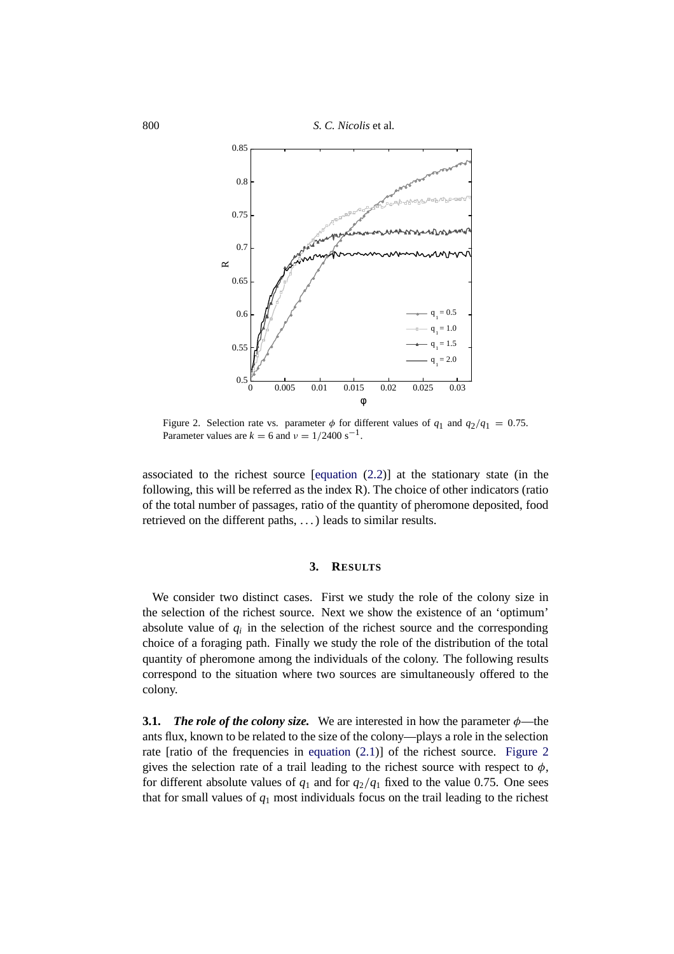<span id="page-5-1"></span>

Figure 2. Selection rate vs. parameter  $\phi$  for different values of  $q_1$  and  $q_2/q_1 = 0.75$ . Parameter values are  $k = 6$  and  $v = 1/2400$  s<sup>-1</sup>.

associated to the richest source [\[equation](#page-2-1) (2.2)] at the stationary state (in the following, this will be referred as the index R). The choice of other indicators (ratio of the total number of passages, ratio of the quantity of pheromone deposited, food retrieved on the different paths, . . . ) leads to similar results.

## **3. RESULTS**

<span id="page-5-0"></span>We consider two distinct cases. First we study the role of the colony size in the selection of the richest source. Next we show the existence of an 'optimum' absolute value of  $q_i$  in the selection of the richest source and the corresponding choice of a foraging path. Finally we study the role of the distribution of the total quantity of pheromone among the individuals of the colony. The following results correspond to the situation where two sources are simultaneously offered to the colony.

<span id="page-5-2"></span>**3.1.** *The role of the colony size.* We are interested in how the parameter  $\phi$ —the ants flux, known to be related to the size of the colony—plays a role in the selection rate [ratio of the frequencies in [equation](#page-2-2) (2.1)] of the richest source. Figure 2 gives the selection rate of a trail leading to the richest source with respect to  $\phi$ , for different absolute values of  $q_1$  and for  $q_2/q_1$  fixed to the value 0.75. One sees that for small values of *q*<sup>1</sup> most individuals focus on the trail leading to the richest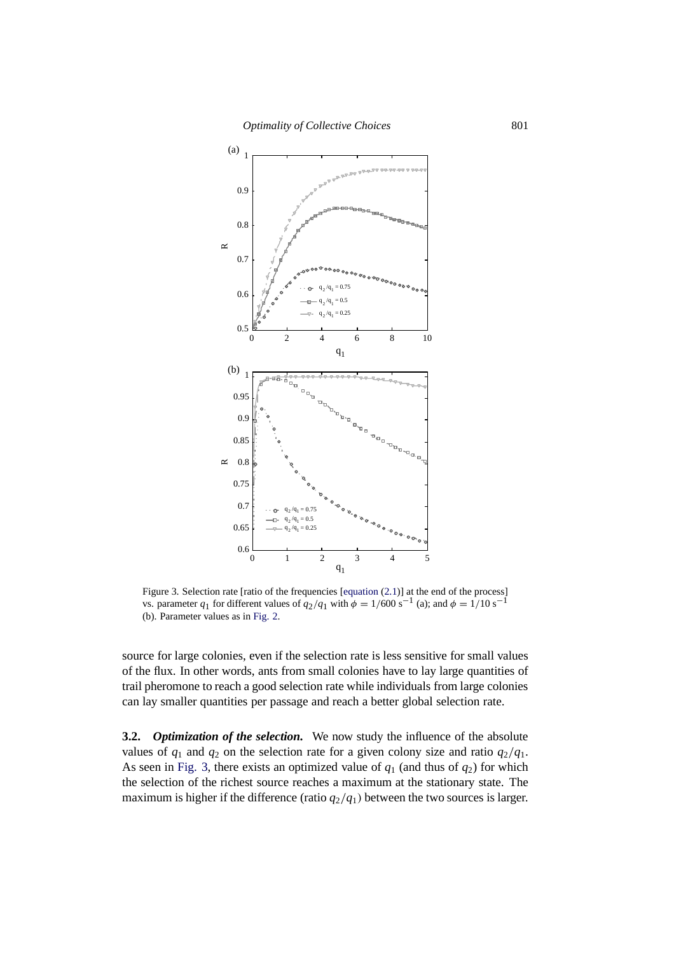<span id="page-6-0"></span>

Figure 3. Selection rate [ratio of the frequencies [\[equation](#page-2-2) (2.1)] at the end of the process] vs. parameter  $q_1$  for different values of  $q_2/q_1$  with  $\dot{\phi} = 1/600 \text{ s}^{-1}$  (a); and  $\phi = 1/10 \text{ s}^{-1}$ (b). Parameter values as in [Fig. 2.](#page-5-1)

source for large colonies, even if the selection rate is less sensitive for small values of the flux. In other words, ants from small colonies have to lay large quantities of trail pheromone to reach a good selection rate while individuals from large colonies can lay smaller quantities per passage and reach a better global selection rate.

**3.2.** *Optimization of the selection.* We now study the influence of the absolute values of  $q_1$  and  $q_2$  on the selection rate for a given colony size and ratio  $q_2/q_1$ . As seen in Fig. 3, there exists an optimized value of  $q_1$  (and thus of  $q_2$ ) for which the selection of the richest source reaches a maximum at the stationary state. The maximum is higher if the difference (ratio  $q_2/q_1$ ) between the two sources is larger.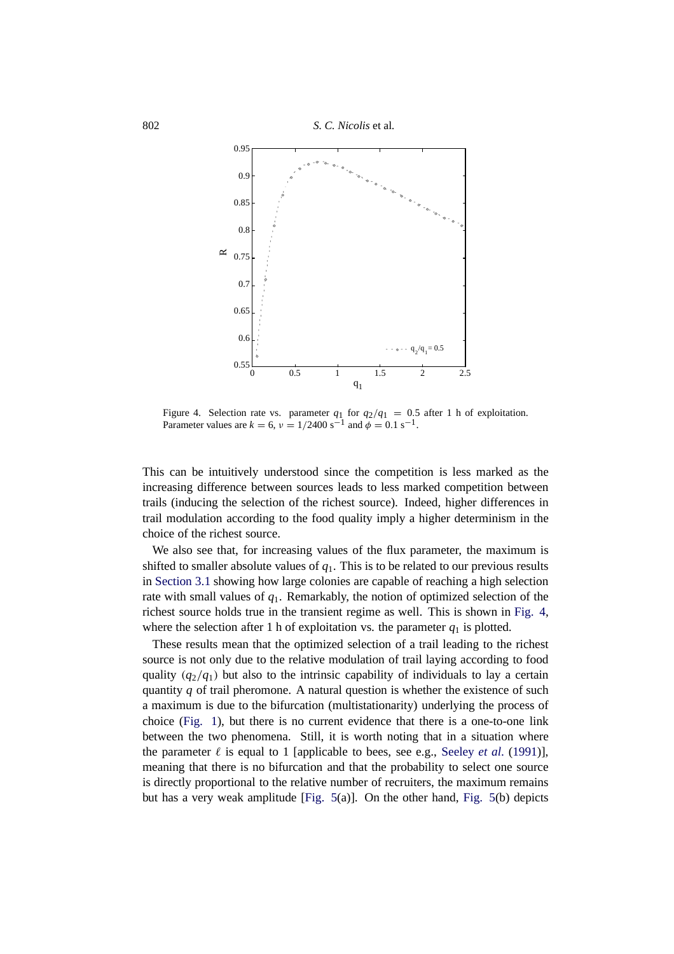

Figure 4. Selection rate vs. parameter  $q_1$  for  $q_2/q_1 = 0.5$  after 1 h of exploitation. Parameter values are  $k = 6$ ,  $v = 1/2400 \text{ s}^{-1}$  and  $\phi = 0.1 \text{ s}^{-1}$ .

This can be intuitively understood since the competition is less marked as the increasing difference between sources leads to less marked competition between trails (inducing the selection of the richest source). Indeed, higher differences in trail modulation according to the food quality imply a higher determinism in the choice of the richest source.

We also see that, for increasing values of the flux parameter, the maximum is shifted to smaller absolute values of  $q_1$ . This is to be related to our previous results in [Section 3.1](#page-5-2) showing how large colonies are capable of reaching a high selection rate with small values of *q*1. Remarkably, the notion of optimized selection of the richest source holds true in the transient regime as well. This is shown in Fig. 4, where the selection after 1 h of exploitation vs. the parameter  $q_1$  is plotted.

These results mean that the optimized selection of a trail leading to the richest source is not only due to the relative modulation of trail laying according to food quality  $(q_2/q_1)$  but also to the intrinsic capability of individuals to lay a certain quantity *q* of trail pheromone. A natural question is whether the existence of such a maximum is due to the bifurcation (multistationarity) underlying the process of choice [\(Fig. 1\)](#page-3-1), but there is no current evidence that there is a one-to-one link between the two phenomena. Still, it is worth noting that in a situation where the parameter  $\ell$  is equal to 1 [applicable to bees, see e.g., [Seeley](#page-13-5) *et al.* [\(1991](#page-13-5))], meaning that there is no bifurcation and that the probability to select one source is directly proportional to the relative number of recruiters, the maximum remains but has a very weak amplitude [\[Fig. 5\(](#page-8-0)a)]. On the other hand, [Fig. 5\(](#page-8-0)b) depicts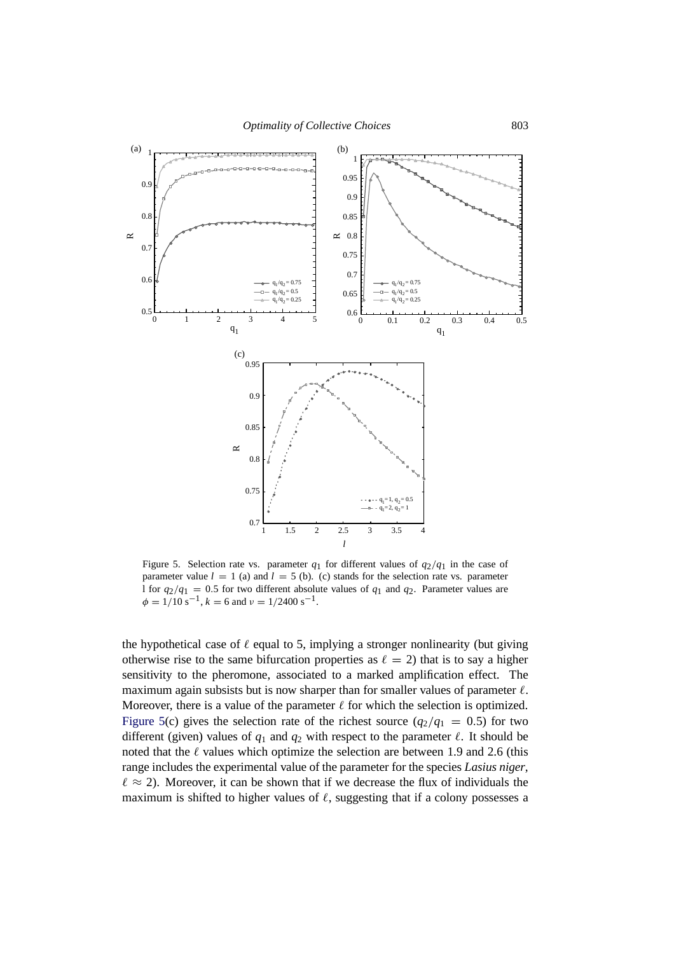<span id="page-8-0"></span>

Figure 5. Selection rate vs. parameter  $q_1$  for different values of  $q_2/q_1$  in the case of parameter value  $l = 1$  (a) and  $l = 5$  (b). (c) stands for the selection rate vs. parameter l for  $q_2/q_1 = 0.5$  for two different absolute values of  $q_1$  and  $q_2$ . Parameter values are  $\phi = 1/10 \text{ s}^{-1}$ ,  $k = 6$  and  $\nu = 1/2400 \text{ s}^{-1}$ .

the hypothetical case of  $\ell$  equal to 5, implying a stronger nonlinearity (but giving otherwise rise to the same bifurcation properties as  $\ell = 2$ ) that is to say a higher sensitivity to the pheromone, associated to a marked amplification effect. The maximum again subsists but is now sharper than for smaller values of parameter  $\ell$ . Moreover, there is a value of the parameter  $\ell$  for which the selection is optimized. Figure 5(c) gives the selection rate of the richest source  $(q_2/q_1 = 0.5)$  for two different (given) values of  $q_1$  and  $q_2$  with respect to the parameter  $\ell$ . It should be noted that the  $\ell$  values which optimize the selection are between 1.9 and 2.6 (this range includes the experimental value of the parameter for the species *Lasius niger*,  $\ell \approx 2$ ). Moreover, it can be shown that if we decrease the flux of individuals the maximum is shifted to higher values of  $\ell$ , suggesting that if a colony possesses a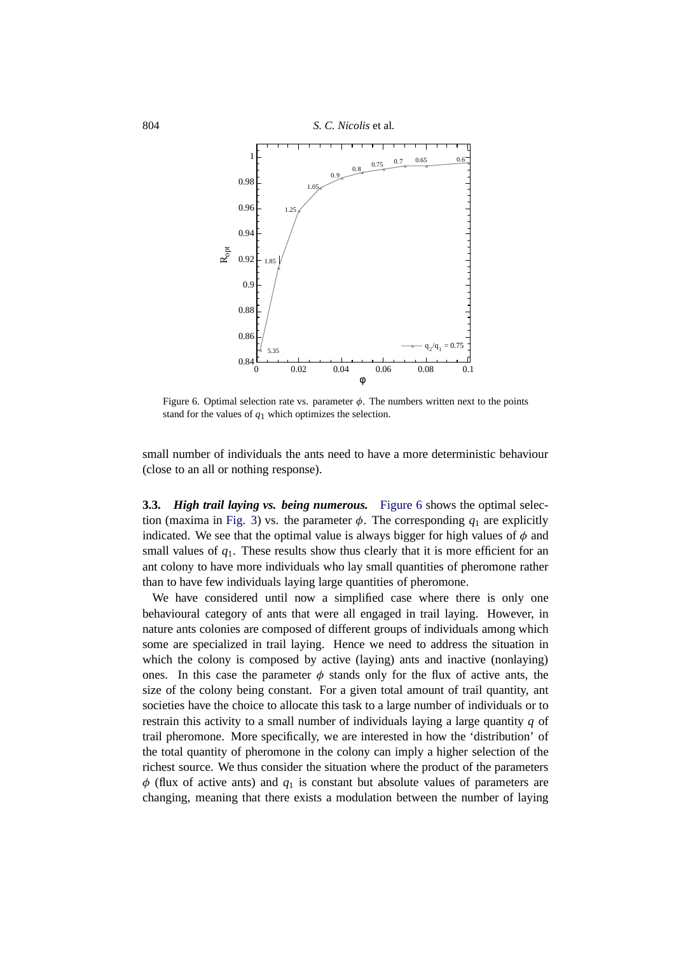

Figure 6. Optimal selection rate vs. parameter  $\phi$ . The numbers written next to the points stand for the values of *q*1 which optimizes the selection.

small number of individuals the ants need to have a more deterministic behaviour (close to an all or nothing response).

<span id="page-9-0"></span>**3.3.** *High trail laying vs. being numerous.* Figure 6 shows the optimal selec-tion (maxima in [Fig. 3\)](#page-6-0) vs. the parameter  $\phi$ . The corresponding  $q_1$  are explicitly indicated. We see that the optimal value is always bigger for high values of  $\phi$  and small values of  $q_1$ . These results show thus clearly that it is more efficient for an ant colony to have more individuals who lay small quantities of pheromone rather than to have few individuals laying large quantities of pheromone.

We have considered until now a simplified case where there is only one behavioural category of ants that were all engaged in trail laying. However, in nature ants colonies are composed of different groups of individuals among which some are specialized in trail laying. Hence we need to address the situation in which the colony is composed by active (laying) ants and inactive (nonlaying) ones. In this case the parameter  $\phi$  stands only for the flux of active ants, the size of the colony being constant. For a given total amount of trail quantity, ant societies have the choice to allocate this task to a large number of individuals or to restrain this activity to a small number of individuals laying a large quantity *q* of trail pheromone. More specifically, we are interested in how the 'distribution' of the total quantity of pheromone in the colony can imply a higher selection of the richest source. We thus consider the situation where the product of the parameters  $\phi$  (flux of active ants) and  $q_1$  is constant but absolute values of parameters are changing, meaning that there exists a modulation between the number of laying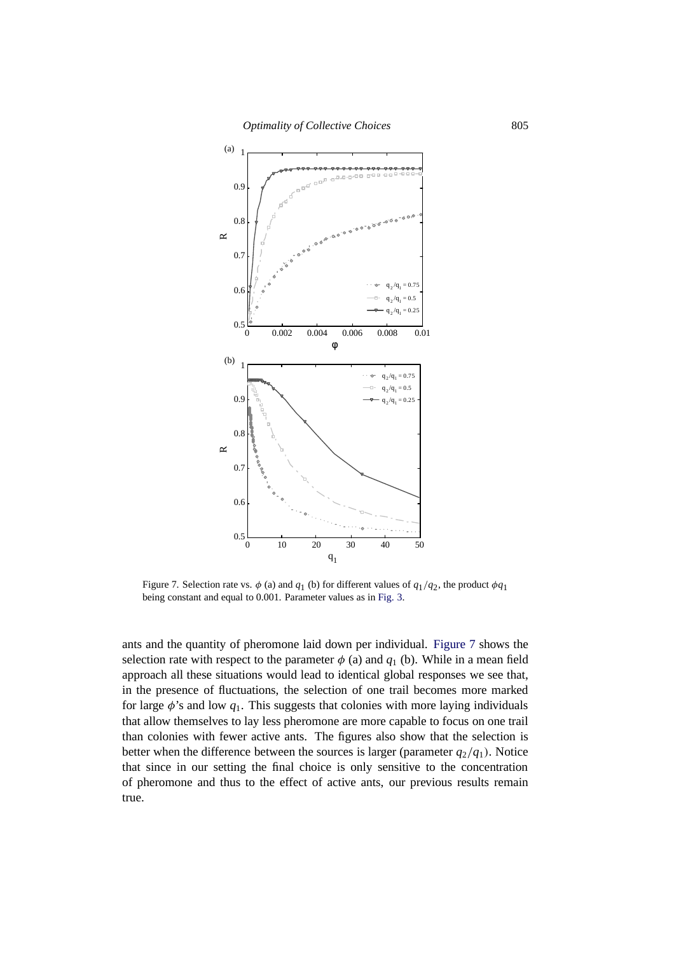

Figure 7. Selection rate vs.  $\phi$  (a) and  $q_1$  (b) for different values of  $q_1/q_2$ , the product  $\phi q_1$ being constant and equal to 0.001. Parameter values as in [Fig. 3.](#page-6-0)

ants and the quantity of pheromone laid down per individual. Figure 7 shows the selection rate with respect to the parameter  $\phi$  (a) and  $q_1$  (b). While in a mean field approach all these situations would lead to identical global responses we see that, in the presence of fluctuations, the selection of one trail becomes more marked for large  $\phi$ 's and low  $q_1$ . This suggests that colonies with more laying individuals that allow themselves to lay less pheromone are more capable to focus on one trail than colonies with fewer active ants. The figures also show that the selection is better when the difference between the sources is larger (parameter  $q_2/q_1$ ). Notice that since in our setting the final choice is only sensitive to the concentration of pheromone and thus to the effect of active ants, our previous results remain true.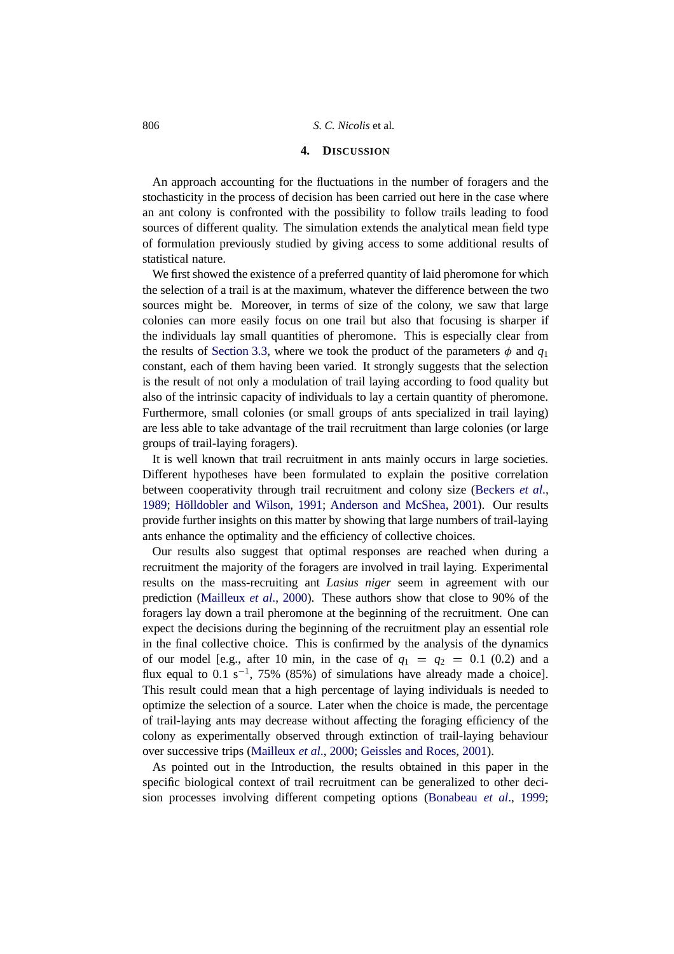#### **4. DISCUSSION**

<span id="page-11-0"></span>An approach accounting for the fluctuations in the number of foragers and the stochasticity in the process of decision has been carried out here in the case where an ant colony is confronted with the possibility to follow trails leading to food sources of different quality. The simulation extends the analytical mean field type of formulation previously studied by giving access to some additional results of statistical nature.

We first showed the existence of a preferred quantity of laid pheromone for which the selection of a trail is at the maximum, whatever the difference between the two sources might be. Moreover, in terms of size of the colony, we saw that large colonies can more easily focus on one trail but also that focusing is sharper if the individuals lay small quantities of pheromone. This is especially clear from the results of [Section 3.3,](#page-9-0) where we took the product of the parameters  $\phi$  and  $q_1$ constant, each of them having been varied. It strongly suggests that the selection is the result of not only a modulation of trail laying according to food quality but also of the intrinsic capacity of individuals to lay a certain quantity of pheromone. Furthermore, small colonies (or small groups of ants specialized in trail laying) are less able to take advantage of the trail recruitment than large colonies (or large groups of trail-laying foragers).

It is well known that trail recruitment in ants mainly occurs in large societies. Different hypotheses have been formulated to explain the positive correlation between cooperativity through trail recruitment and colony size [\(Beckers](#page-12-10) *et al*., [1989](#page-12-10); Hölldobler and Wilson, [1991;](#page-13-0) [Anderson and McShea](#page-12-11), [2001\)](#page-12-11). Our results provide further insights on this matter by showing that large numbers of trail-laying ants enhance the optimality and the efficiency of collective choices.

Our results also suggest that optimal responses are reached when during a recruitment the majority of the foragers are involved in trail laying. Experimental results on the mass-recruiting ant *Lasius niger* seem in agreement with our prediction [\(Mailleux](#page-13-17) *et al*., [2000](#page-13-17)). These authors show that close to 90% of the foragers lay down a trail pheromone at the beginning of the recruitment. One can expect the decisions during the beginning of the recruitment play an essential role in the final collective choice. This is confirmed by the analysis of the dynamics of our model [e.g., after 10 min, in the case of  $q_1 = q_2 = 0.1$  (0.2) and a flux equal to 0.1 s<sup>-1</sup>, 75% (85%) of simulations have already made a choice]. This result could mean that a high percentage of laying individuals is needed to optimize the selection of a source. Later when the choice is made, the percentage of trail-laying ants may decrease without affecting the foraging efficiency of the colony as experimentally observed through extinction of trail-laying behaviour over successive trips [\(Mailleux](#page-13-17) *et al*., [2000;](#page-13-17) [Geissles and Roces,](#page-13-18) [2001\)](#page-13-18).

As pointed out in the Introduction, the results obtained in this paper in the specific biological context of trail recruitment can be generalized to other decision processes involving different competing options [\(Bonabeau](#page-12-0) *et al*., [1999](#page-12-0);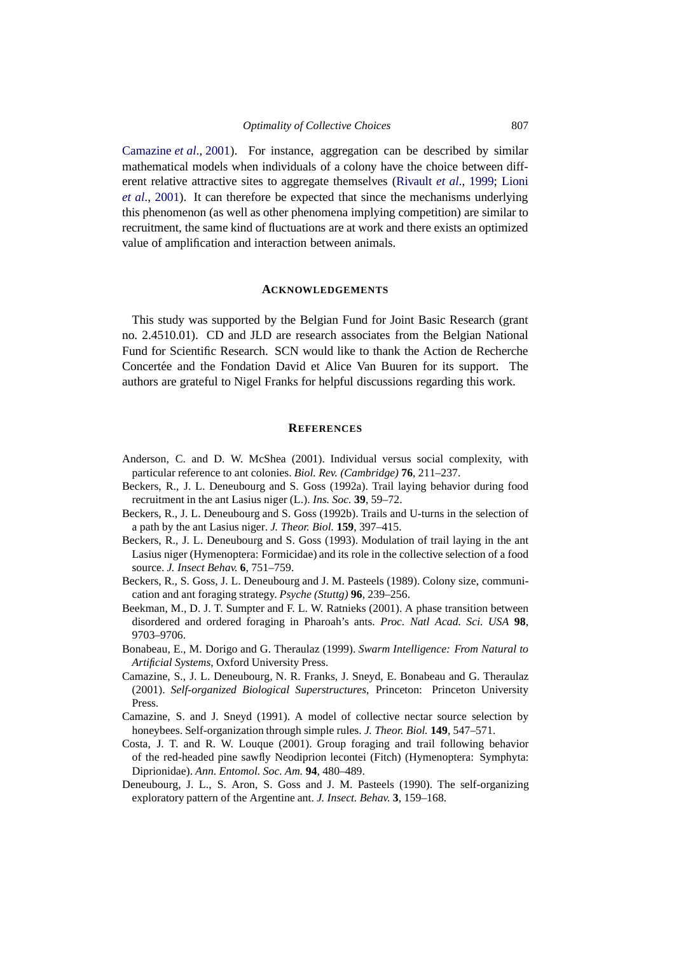[Camazine](#page-12-1) *et al*., [2001](#page-12-1)). For instance, aggregation can be described by similar mathematical models when individuals of a colony have the choice between different relative attractive sites to aggregate themselves [\(Rivault](#page-13-19) *et al*., [1999;](#page-13-19) [Lioni](#page-13-20) *et al*., [2001](#page-13-20)). It can therefore be expected that since the mechanisms underlying this phenomenon (as well as other phenomena implying competition) are similar to recruitment, the same kind of fluctuations are at work and there exists an optimized value of amplification and interaction between animals.

#### **ACKNOWLEDGEMENTS**

This study was supported by the Belgian Fund for Joint Basic Research (grant no. 2.4510.01). CD and JLD are research associates from the Belgian National Fund for Scientific Research. SCN would like to thank the Action de Recherche Concertée and the Fondation David et Alice Van Buuren for its support. The authors are grateful to Nigel Franks for helpful discussions regarding this work.

#### **REFERENCES**

- <span id="page-12-11"></span>Anderson, C. and D. W. McShea (2001). Individual versus social complexity, with particular reference to ant colonies. *Biol. Rev. (Cambridge)* **76**, 211–237.
- <span id="page-12-6"></span>Beckers, R., J. L. Deneubourg and S. Goss (1992a). Trail laying behavior during food recruitment in the ant Lasius niger (L.). *Ins. Soc.* **39**, 59–72.
- <span id="page-12-8"></span>Beckers, R., J. L. Deneubourg and S. Goss (1992b). Trails and U-turns in the selection of a path by the ant Lasius niger. *J. Theor. Biol.* **159**, 397–415.
- <span id="page-12-9"></span>Beckers, R., J. L. Deneubourg and S. Goss (1993). Modulation of trail laying in the ant Lasius niger (Hymenoptera: Formicidae) and its role in the collective selection of a food source. *J. Insect Behav.* **6**, 751–759.
- <span id="page-12-10"></span>Beckers, R., S. Goss, J. L. Deneubourg and J. M. Pasteels (1989). Colony size, communication and ant foraging strategy. *Psyche (Stuttg)* **96**, 239–256.
- <span id="page-12-4"></span>Beekman, M., D. J. T. Sumpter and F. L. W. Ratnieks (2001). A phase transition between disordered and ordered foraging in Pharoah's ants. *Proc. Natl Acad. Sci. USA* **98**, 9703–9706.
- <span id="page-12-0"></span>Bonabeau, E., M. Dorigo and G. Theraulaz (1999). *Swarm Intelligence: From Natural to Artificial Systems*, Oxford University Press.
- <span id="page-12-5"></span><span id="page-12-1"></span>Camazine, S., J. L. Deneubourg, N. R. Franks, J. Sneyd, E. Bonabeau and G. Theraulaz (2001). *Self-organized Biological Superstructures*, Princeton: Princeton University Press.
- <span id="page-12-2"></span>Camazine, S. and J. Sneyd (1991). A model of collective nectar source selection by honeybees. Self-organization through simple rules. *J. Theor. Biol.* **149**, 547–571.
- <span id="page-12-3"></span>Costa, J. T. and R. W. Louque (2001). Group foraging and trail following behavior of the red-headed pine sawfly Neodiprion lecontei (Fitch) (Hymenoptera: Symphyta: Diprionidae). *Ann. Entomol. Soc. Am.* **94**, 480–489.
- <span id="page-12-7"></span>Deneubourg, J. L., S. Aron, S. Goss and J. M. Pasteels (1990). The self-organizing exploratory pattern of the Argentine ant. *J. Insect. Behav.* **3**, 159–168.